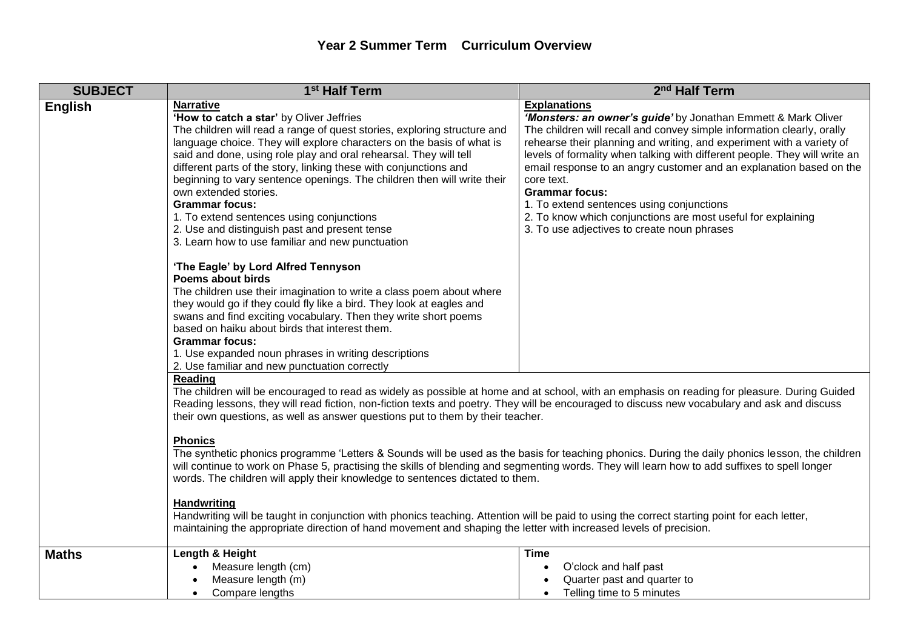| <b>SUBJECT</b> | 1 <sup>st</sup> Half Term                                                                                                                                                                                                                                                                                                                                                                                                                                                                                                                                                                                                                                                                                                                                                                        | 2 <sup>nd</sup> Half Term                                                                                                                                                                                                                                                                                                                                                                                                                                                                                                                                                                       |  |
|----------------|--------------------------------------------------------------------------------------------------------------------------------------------------------------------------------------------------------------------------------------------------------------------------------------------------------------------------------------------------------------------------------------------------------------------------------------------------------------------------------------------------------------------------------------------------------------------------------------------------------------------------------------------------------------------------------------------------------------------------------------------------------------------------------------------------|-------------------------------------------------------------------------------------------------------------------------------------------------------------------------------------------------------------------------------------------------------------------------------------------------------------------------------------------------------------------------------------------------------------------------------------------------------------------------------------------------------------------------------------------------------------------------------------------------|--|
| <b>English</b> | <b>Narrative</b><br>'How to catch a star' by Oliver Jeffries<br>The children will read a range of quest stories, exploring structure and<br>language choice. They will explore characters on the basis of what is<br>said and done, using role play and oral rehearsal. They will tell<br>different parts of the story, linking these with conjunctions and<br>beginning to vary sentence openings. The children then will write their<br>own extended stories.<br><b>Grammar focus:</b><br>1. To extend sentences using conjunctions<br>2. Use and distinguish past and present tense<br>3. Learn how to use familiar and new punctuation                                                                                                                                                       | <b>Explanations</b><br>'Monsters: an owner's guide' by Jonathan Emmett & Mark Oliver<br>The children will recall and convey simple information clearly, orally<br>rehearse their planning and writing, and experiment with a variety of<br>levels of formality when talking with different people. They will write an<br>email response to an angry customer and an explanation based on the<br>core text.<br><b>Grammar focus:</b><br>1. To extend sentences using conjunctions<br>2. To know which conjunctions are most useful for explaining<br>3. To use adjectives to create noun phrases |  |
|                | 'The Eagle' by Lord Alfred Tennyson<br><b>Poems about birds</b><br>The children use their imagination to write a class poem about where<br>they would go if they could fly like a bird. They look at eagles and<br>swans and find exciting vocabulary. Then they write short poems<br>based on haiku about birds that interest them.<br><b>Grammar focus:</b><br>1. Use expanded noun phrases in writing descriptions<br>2. Use familiar and new punctuation correctly                                                                                                                                                                                                                                                                                                                           |                                                                                                                                                                                                                                                                                                                                                                                                                                                                                                                                                                                                 |  |
|                | Reading<br>The children will be encouraged to read as widely as possible at home and at school, with an emphasis on reading for pleasure. During Guided<br>Reading lessons, they will read fiction, non-fiction texts and poetry. They will be encouraged to discuss new vocabulary and ask and discuss<br>their own questions, as well as answer questions put to them by their teacher.<br><b>Phonics</b><br>The synthetic phonics programme 'Letters & Sounds will be used as the basis for teaching phonics. During the daily phonics lesson, the children<br>will continue to work on Phase 5, practising the skills of blending and segmenting words. They will learn how to add suffixes to spell longer<br>words. The children will apply their knowledge to sentences dictated to them. |                                                                                                                                                                                                                                                                                                                                                                                                                                                                                                                                                                                                 |  |
|                | <b>Handwriting</b><br>Handwriting will be taught in conjunction with phonics teaching. Attention will be paid to using the correct starting point for each letter,<br>maintaining the appropriate direction of hand movement and shaping the letter with increased levels of precision.                                                                                                                                                                                                                                                                                                                                                                                                                                                                                                          |                                                                                                                                                                                                                                                                                                                                                                                                                                                                                                                                                                                                 |  |
| <b>Maths</b>   | Length & Height<br>Measure length (cm)<br>Measure length (m)<br>Compare lengths<br>$\bullet$                                                                                                                                                                                                                                                                                                                                                                                                                                                                                                                                                                                                                                                                                                     | Time<br>O'clock and half past<br>$\bullet$<br>Quarter past and quarter to<br>Telling time to 5 minutes<br>$\bullet$                                                                                                                                                                                                                                                                                                                                                                                                                                                                             |  |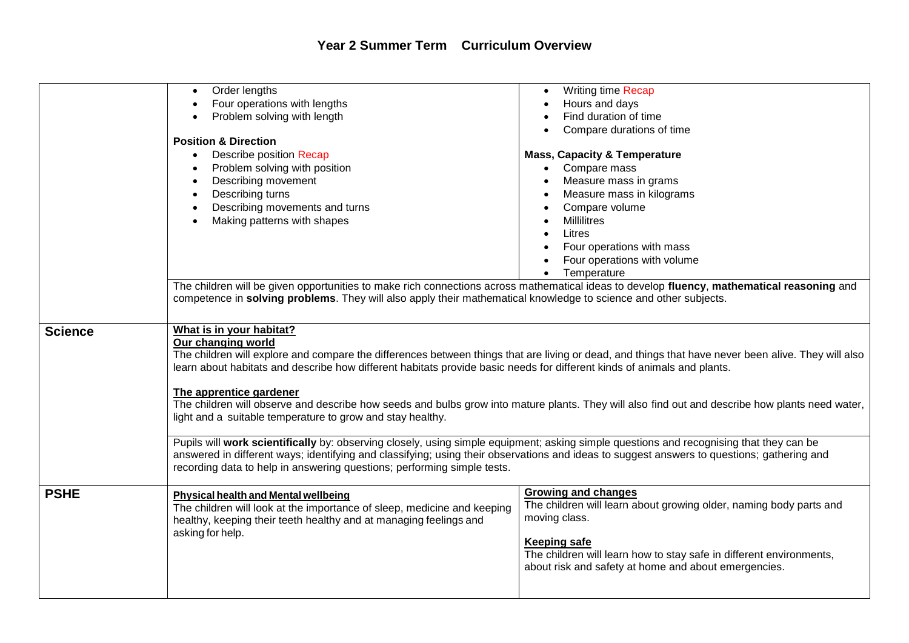|                | Order lengths<br>Four operations with lengths<br>Problem solving with length<br><b>Position &amp; Direction</b><br>Describe position Recap<br>Problem solving with position<br>Describing movement<br>Describing turns<br>Describing movements and turns<br>Making patterns with shapes<br>The children will be given opportunities to make rich connections across mathematical ideas to develop fluency, mathematical reasoning and<br>competence in solving problems. They will also apply their mathematical knowledge to science and other subjects.                                                                                                                                                                                                                                                                                                                                                                                        | Writing time Recap<br>Hours and days<br>Find duration of time<br>Compare durations of time<br><b>Mass, Capacity &amp; Temperature</b><br>Compare mass<br>$\bullet$<br>Measure mass in grams<br>Measure mass in kilograms<br>Compare volume<br><b>Millilitres</b><br>Litres<br>Four operations with mass<br>Four operations with volume<br>Temperature |  |
|----------------|--------------------------------------------------------------------------------------------------------------------------------------------------------------------------------------------------------------------------------------------------------------------------------------------------------------------------------------------------------------------------------------------------------------------------------------------------------------------------------------------------------------------------------------------------------------------------------------------------------------------------------------------------------------------------------------------------------------------------------------------------------------------------------------------------------------------------------------------------------------------------------------------------------------------------------------------------|-------------------------------------------------------------------------------------------------------------------------------------------------------------------------------------------------------------------------------------------------------------------------------------------------------------------------------------------------------|--|
| <b>Science</b> | What is in your habitat?<br>Our changing world<br>The children will explore and compare the differences between things that are living or dead, and things that have never been alive. They will also<br>learn about habitats and describe how different habitats provide basic needs for different kinds of animals and plants.<br>The apprentice gardener<br>The children will observe and describe how seeds and bulbs grow into mature plants. They will also find out and describe how plants need water,<br>light and a suitable temperature to grow and stay healthy.<br>Pupils will work scientifically by: observing closely, using simple equipment; asking simple questions and recognising that they can be<br>answered in different ways; identifying and classifying; using their observations and ideas to suggest answers to questions; gathering and<br>recording data to help in answering questions; performing simple tests. |                                                                                                                                                                                                                                                                                                                                                       |  |
| <b>PSHE</b>    | <b>Physical health and Mental wellbeing</b><br>The children will look at the importance of sleep, medicine and keeping<br>healthy, keeping their teeth healthy and at managing feelings and<br>asking for help.                                                                                                                                                                                                                                                                                                                                                                                                                                                                                                                                                                                                                                                                                                                                  | <b>Growing and changes</b><br>The children will learn about growing older, naming body parts and<br>moving class.<br><b>Keeping safe</b><br>The children will learn how to stay safe in different environments,<br>about risk and safety at home and about emergencies.                                                                               |  |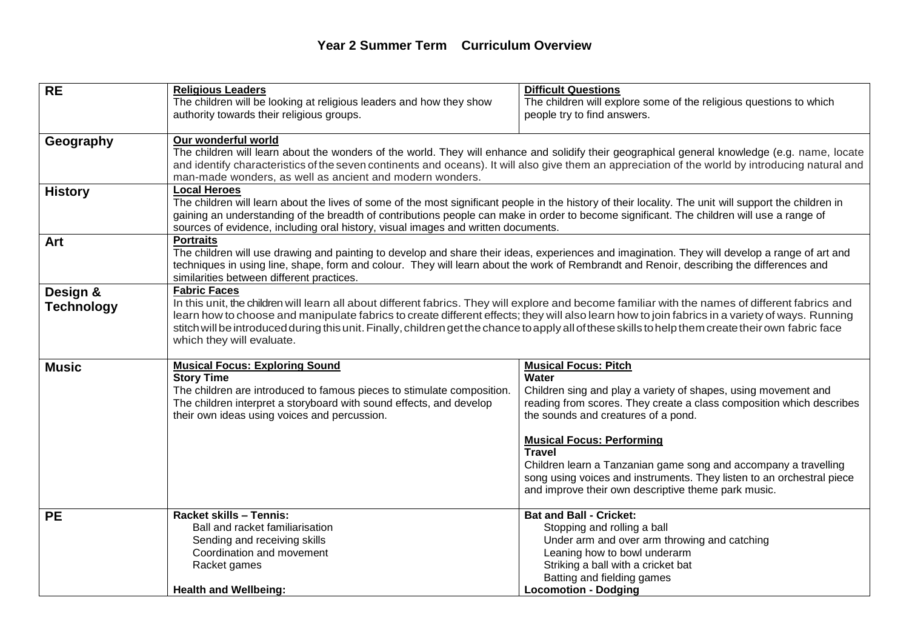## **Year 2 Summer Term Curriculum Overview**

| <b>RE</b>         | <b>Religious Leaders</b>                                                                                                                               | <b>Difficult Questions</b>                                                                                                                     |  |  |
|-------------------|--------------------------------------------------------------------------------------------------------------------------------------------------------|------------------------------------------------------------------------------------------------------------------------------------------------|--|--|
|                   | The children will be looking at religious leaders and how they show                                                                                    | The children will explore some of the religious questions to which                                                                             |  |  |
|                   | authority towards their religious groups.                                                                                                              | people try to find answers.                                                                                                                    |  |  |
|                   |                                                                                                                                                        |                                                                                                                                                |  |  |
| Geography         | Our wonderful world                                                                                                                                    |                                                                                                                                                |  |  |
|                   |                                                                                                                                                        | The children will learn about the wonders of the world. They will enhance and solidify their geographical general knowledge (e.g. name, locate |  |  |
|                   | and identify characteristics of the seven continents and oceans). It will also give them an appreciation of the world by introducing natural and       |                                                                                                                                                |  |  |
|                   | man-made wonders, as well as ancient and modern wonders.                                                                                               |                                                                                                                                                |  |  |
| <b>History</b>    | <b>Local Heroes</b>                                                                                                                                    |                                                                                                                                                |  |  |
|                   | The children will learn about the lives of some of the most significant people in the history of their locality. The unit will support the children in |                                                                                                                                                |  |  |
|                   | gaining an understanding of the breadth of contributions people can make in order to become significant. The children will use a range of              |                                                                                                                                                |  |  |
|                   | sources of evidence, including oral history, visual images and written documents.                                                                      |                                                                                                                                                |  |  |
| Art               | <b>Portraits</b>                                                                                                                                       |                                                                                                                                                |  |  |
|                   | The children will use drawing and painting to develop and share their ideas, experiences and imagination. They will develop a range of art and         |                                                                                                                                                |  |  |
|                   | techniques in using line, shape, form and colour. They will learn about the work of Rembrandt and Renoir, describing the differences and               |                                                                                                                                                |  |  |
|                   | similarities between different practices.                                                                                                              |                                                                                                                                                |  |  |
| Design &          | <b>Fabric Faces</b>                                                                                                                                    |                                                                                                                                                |  |  |
| <b>Technology</b> | In this unit, the children will learn all about different fabrics. They will explore and become familiar with the names of different fabrics and       |                                                                                                                                                |  |  |
|                   | learn how to choose and manipulate fabrics to create different effects; they will also learn how to join fabrics in a variety of ways. Running         |                                                                                                                                                |  |  |
|                   | stitch will be introduced during this unit. Finally, children get the chance to apply all of these skills to help them create their own fabric face    |                                                                                                                                                |  |  |
|                   | which they will evaluate.                                                                                                                              |                                                                                                                                                |  |  |
|                   |                                                                                                                                                        | <b>Musical Focus: Pitch</b>                                                                                                                    |  |  |
| <b>Music</b>      | <b>Musical Focus: Exploring Sound</b><br><b>Story Time</b>                                                                                             | Water                                                                                                                                          |  |  |
|                   | The children are introduced to famous pieces to stimulate composition.                                                                                 | Children sing and play a variety of shapes, using movement and                                                                                 |  |  |
|                   | The children interpret a storyboard with sound effects, and develop                                                                                    | reading from scores. They create a class composition which describes                                                                           |  |  |
|                   | their own ideas using voices and percussion.                                                                                                           | the sounds and creatures of a pond.                                                                                                            |  |  |
|                   |                                                                                                                                                        |                                                                                                                                                |  |  |
|                   |                                                                                                                                                        | <b>Musical Focus: Performing</b>                                                                                                               |  |  |
|                   |                                                                                                                                                        | <b>Travel</b>                                                                                                                                  |  |  |
|                   |                                                                                                                                                        | Children learn a Tanzanian game song and accompany a travelling                                                                                |  |  |
|                   |                                                                                                                                                        | song using voices and instruments. They listen to an orchestral piece                                                                          |  |  |
|                   |                                                                                                                                                        | and improve their own descriptive theme park music.                                                                                            |  |  |
|                   |                                                                                                                                                        |                                                                                                                                                |  |  |
| <b>PE</b>         | Racket skills - Tennis:                                                                                                                                | <b>Bat and Ball - Cricket:</b>                                                                                                                 |  |  |
|                   | Ball and racket familiarisation                                                                                                                        | Stopping and rolling a ball                                                                                                                    |  |  |
|                   | Sending and receiving skills                                                                                                                           | Under arm and over arm throwing and catching                                                                                                   |  |  |
|                   | Coordination and movement                                                                                                                              | Leaning how to bowl underarm                                                                                                                   |  |  |
|                   | Racket games                                                                                                                                           | Striking a ball with a cricket bat                                                                                                             |  |  |
|                   |                                                                                                                                                        | Batting and fielding games                                                                                                                     |  |  |
|                   | <b>Health and Wellbeing:</b>                                                                                                                           | <b>Locomotion - Dodging</b>                                                                                                                    |  |  |